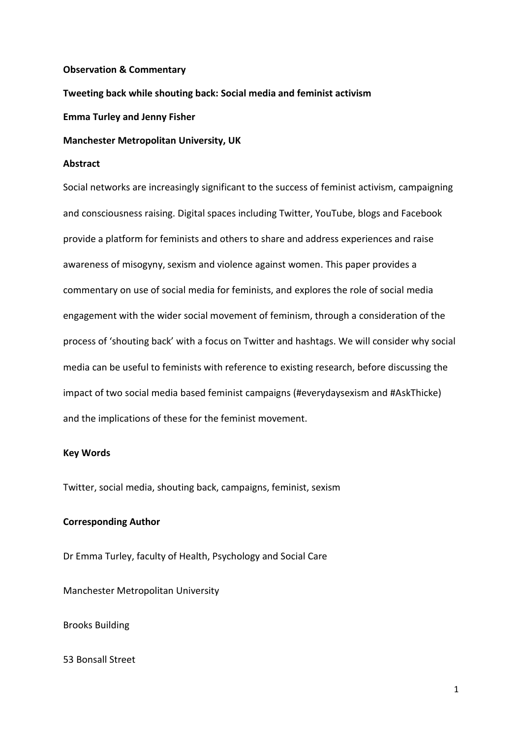## **Observation & Commentary**

**Tweeting back while shouting back: Social media and feminist activism**

**Emma Turley and Jenny Fisher**

**Manchester Metropolitan University, UK**

# **Abstract**

Social networks are increasingly significant to the success of feminist activism, campaigning and consciousness raising. Digital spaces including Twitter, YouTube, blogs and Facebook provide a platform for feminists and others to share and address experiences and raise awareness of misogyny, sexism and violence against women. This paper provides a commentary on use of social media for feminists, and explores the role of social media engagement with the wider social movement of feminism, through a consideration of the process of 'shouting back' with a focus on Twitter and hashtags. We will consider why social media can be useful to feminists with reference to existing research, before discussing the impact of two social media based feminist campaigns (#everydaysexism and #AskThicke) and the implications of these for the feminist movement.

## **Key Words**

Twitter, social media, shouting back, campaigns, feminist, sexism

# **Corresponding Author**

Dr Emma Turley, faculty of Health, Psychology and Social Care

Manchester Metropolitan University

Brooks Building

53 Bonsall Street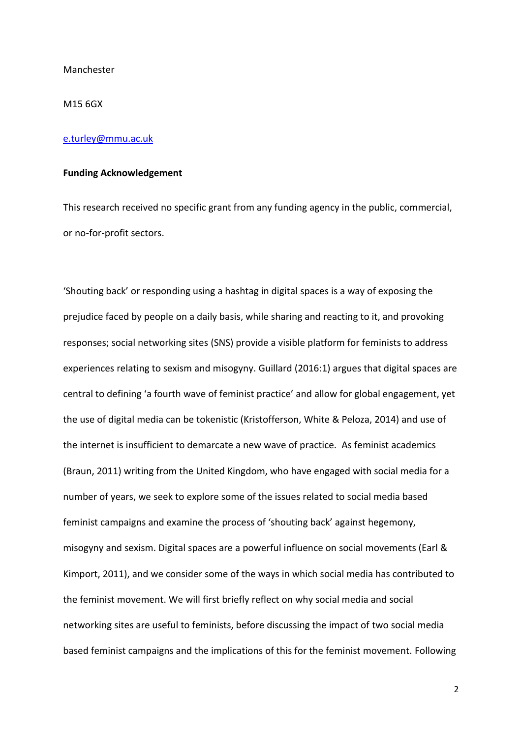Manchester

M15 6GX

### [e.turley@mmu.ac.uk](mailto:e.turley@mmu.ac.uk)

## **Funding Acknowledgement**

This research received no specific grant from any funding agency in the public, commercial, or no-for-profit sectors.

'Shouting back' or responding using a hashtag in digital spaces is a way of exposing the prejudice faced by people on a daily basis, while sharing and reacting to it, and provoking responses; social networking sites (SNS) provide a visible platform for feminists to address experiences relating to sexism and misogyny. Guillard (2016:1) argues that digital spaces are central to defining 'a fourth wave of feminist practice' and allow for global engagement, yet the use of digital media can be tokenistic (Kristofferson, White & Peloza, 2014) and use of the internet is insufficient to demarcate a new wave of practice. As feminist academics (Braun, 2011) writing from the United Kingdom, who have engaged with social media for a number of years, we seek to explore some of the issues related to social media based feminist campaigns and examine the process of 'shouting back' against hegemony, misogyny and sexism. Digital spaces are a powerful influence on social movements (Earl & Kimport, 2011), and we consider some of the ways in which social media has contributed to the feminist movement. We will first briefly reflect on why social media and social networking sites are useful to feminists, before discussing the impact of two social media based feminist campaigns and the implications of this for the feminist movement. Following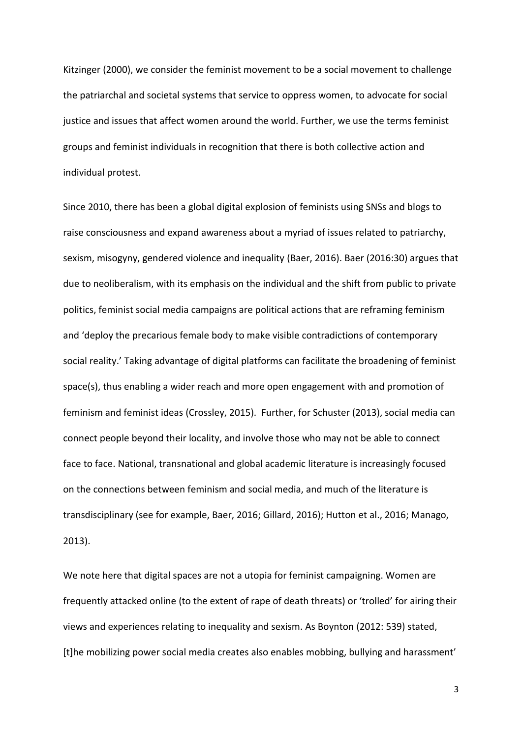Kitzinger (2000), we consider the feminist movement to be a social movement to challenge the patriarchal and societal systems that service to oppress women, to advocate for social justice and issues that affect women around the world. Further, we use the terms feminist groups and feminist individuals in recognition that there is both collective action and individual protest.

Since 2010, there has been a global digital explosion of feminists using SNSs and blogs to raise consciousness and expand awareness about a myriad of issues related to patriarchy, sexism, misogyny, gendered violence and inequality (Baer, 2016). Baer (2016:30) argues that due to neoliberalism, with its emphasis on the individual and the shift from public to private politics, feminist social media campaigns are political actions that are reframing feminism and 'deploy the precarious female body to make visible contradictions of contemporary social reality.' Taking advantage of digital platforms can facilitate the broadening of feminist space(s), thus enabling a wider reach and more open engagement with and promotion of feminism and feminist ideas (Crossley, 2015). Further, for Schuster (2013), social media can connect people beyond their locality, and involve those who may not be able to connect face to face. National, transnational and global academic literature is increasingly focused on the connections between feminism and social media, and much of the literature is transdisciplinary (see for example, Baer, 2016; Gillard, 2016); Hutton et al., 2016; Manago, 2013).

We note here that digital spaces are not a utopia for feminist campaigning. Women are frequently attacked online (to the extent of rape of death threats) or 'trolled' for airing their views and experiences relating to inequality and sexism. As Boynton (2012: 539) stated, [t]he mobilizing power social media creates also enables mobbing, bullying and harassment'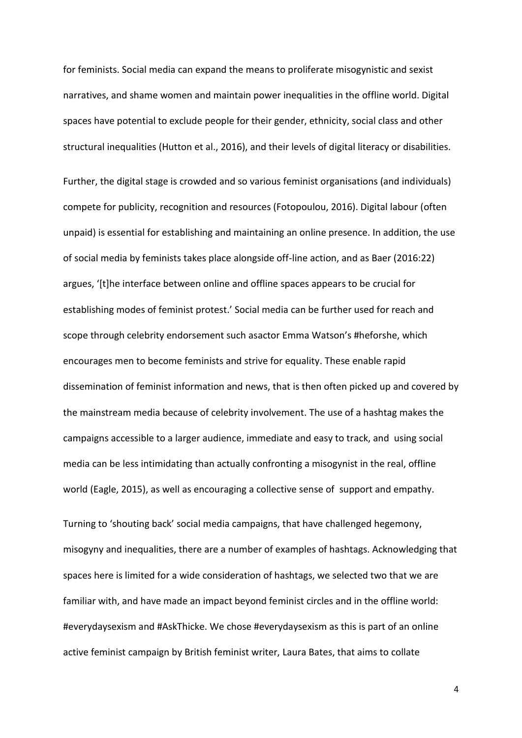for feminists. Social media can expand the means to proliferate misogynistic and sexist narratives, and shame women and maintain power inequalities in the offline world. Digital spaces have potential to exclude people for their gender, ethnicity, social class and other structural inequalities (Hutton et al., 2016), and their levels of digital literacy or disabilities.

Further, the digital stage is crowded and so various feminist organisations (and individuals) compete for publicity, recognition and resources (Fotopoulou, 2016). Digital labour (often unpaid) is essential for establishing and maintaining an online presence. In addition, the use of social media by feminists takes place alongside off-line action, and as Baer (2016:22) argues, '[t]he interface between online and offline spaces appears to be crucial for establishing modes of feminist protest.' Social media can be further used for reach and scope through celebrity endorsement such asactor Emma Watson's #heforshe, which encourages men to become feminists and strive for equality. These enable rapid dissemination of feminist information and news, that is then often picked up and covered by the mainstream media because of celebrity involvement. The use of a hashtag makes the campaigns accessible to a larger audience, immediate and easy to track, and using social media can be less intimidating than actually confronting a misogynist in the real, offline world (Eagle, 2015), as well as encouraging a collective sense of support and empathy.

Turning to 'shouting back' social media campaigns, that have challenged hegemony, misogyny and inequalities, there are a number of examples of hashtags. Acknowledging that spaces here is limited for a wide consideration of hashtags, we selected two that we are familiar with, and have made an impact beyond feminist circles and in the offline world: #everydaysexism and #AskThicke. We chose #everydaysexism as this is part of an online active feminist campaign by British feminist writer, Laura Bates, that aims [to](http://to/) collate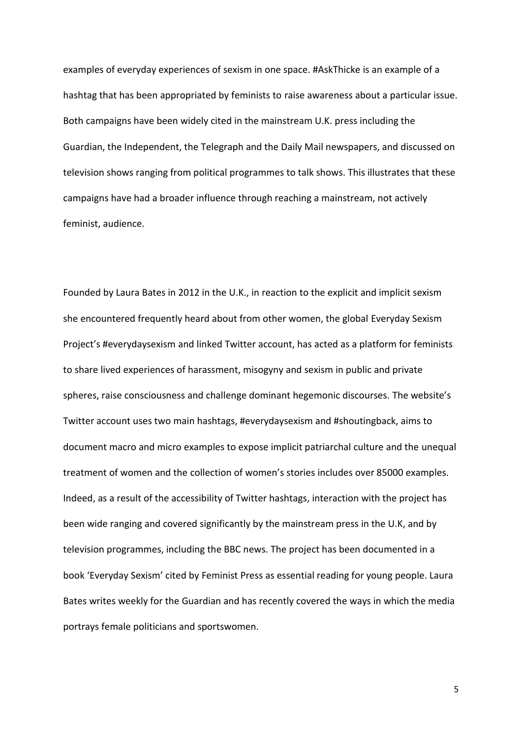examples of everyday experiences of sexism in one space. #AskThicke is an example of a hashtag that has been appropriated by feminists to raise awareness about a particular issue. Both campaigns have been widely cited in the mainstream U.K. press including the Guardian, the Independent, the Telegraph and the Daily Mail newspapers, and discussed on television shows ranging from political programmes to talk shows. This illustrates that these campaigns have had a broader influence through reaching a mainstream, not actively feminist, audience.

Founded by Laura Bates in 2012 in the U.K., in reaction to the explicit and implicit sexism she encountered frequently heard about from other women, the global Everyday Sexism Project's #everydaysexism and linked Twitter account, has acted as a platform for feminists to share lived experiences of harassment, misogyny and sexism in public and private spheres, raise consciousness and challenge dominant hegemonic discourses. The website's Twitter account uses two main hashtags, #everydaysexism and #shoutingback, aims to document macro and micro examples to expose implicit patriarchal culture and the unequal treatment of women and the collection of women's stories includes over 85000 examples. Indeed, as a result of the accessibility of Twitter hashtags, interaction with the project has been wide ranging and covered significantly by the mainstream press in the U.K, and by television programmes, including the BBC news. The project has been documented in a book 'Everyday Sexism' cited by Feminist Press as essential reading for young people. Laura Bates writes weekly for the Guardian and has recently covered the ways in which the media portrays female politicians and sportswomen.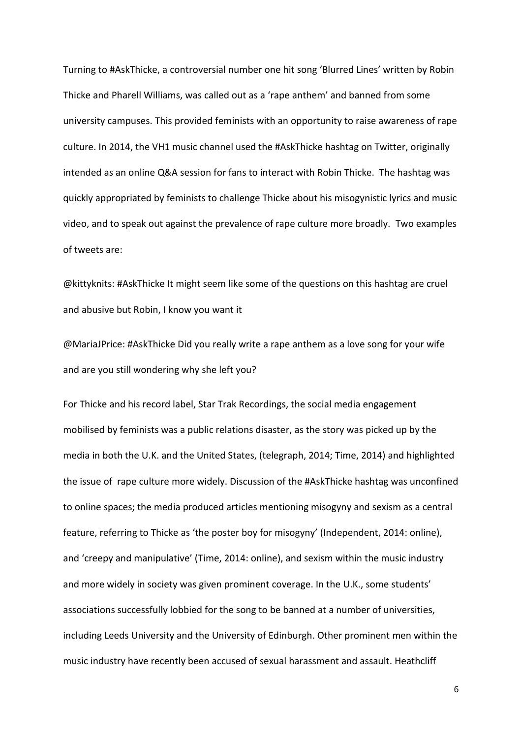Turning to #AskThicke, a controversial number one hit song 'Blurred Lines' written by Robin Thicke and Pharell Williams, was called out as a 'rape anthem' and banned from some university campuses. This provided feminists with an opportunity to raise awareness of rape culture. In 2014, the VH1 music channel used the #AskThicke hashtag on Twitter, originally intended as an online Q&A session for fans to interact with Robin Thicke. The hashtag was quickly appropriated by feminists to challenge Thicke about his misogynistic lyrics and music video, and to speak out against the prevalence of rape culture more broadly. Two examples of tweets are:

@kittyknits: #AskThicke It might seem like some of the questions on this hashtag are cruel and abusive but Robin, I know you want it

@MariaJPrice: #AskThicke Did you really write a rape anthem as a love song for your wife and are you still wondering why she left you?

For Thicke and his record label, Star Trak Recordings, the social media engagement mobilised by feminists was a public relations disaster, as the story was picked up by the media in both the U.K. and the United States, (telegraph, 2014; Time, 2014) and highlighted the issue of rape culture more widely. Discussion of the #AskThicke hashtag was unconfined to online spaces; the media produced articles mentioning misogyny and sexism as a central feature, referring to Thicke as 'the poster boy for misogyny' (Independent, 2014: online), and 'creepy and manipulative' (Time, 2014: online), and sexism within the music industry and more widely in society was given prominent coverage. In the U.K., some students' associations successfully lobbied for the song to be banned at a number of universities, including Leeds University and the University of Edinburgh. Other prominent men within the music industry have recently been accused of sexual harassment and assault. Heathcliff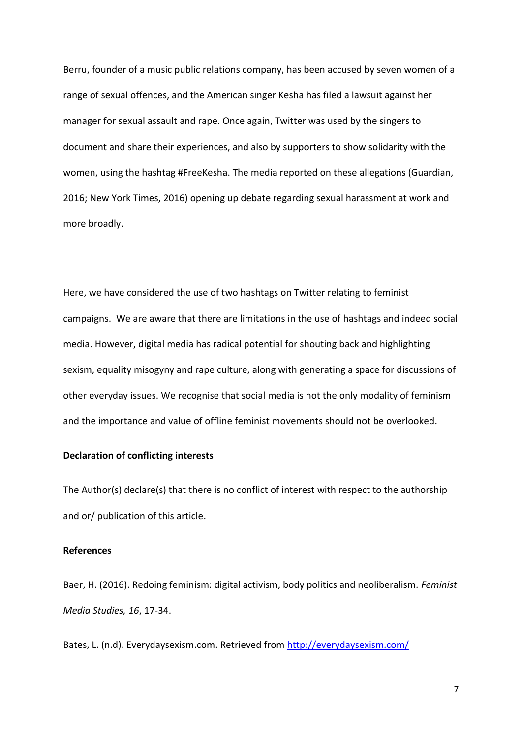Berru, founder of a music public relations company, has been accused by seven women of a range of sexual offences, and the American singer Kesha has filed a lawsuit against her manager for sexual assault and rape. Once again, Twitter was used by the singers to document and share their experiences, and also by supporters to show solidarity with the women, using the hashtag #FreeKesha. The media reported on these allegations (Guardian, 2016; New York Times, 2016) opening up debate regarding sexual harassment at work and more broadly.

Here, we have considered the use of two hashtags on Twitter relating to feminist campaigns. We are aware that there are limitations in the use of hashtags and indeed social media. However, digital media has radical potential for shouting back and highlighting sexism, equality misogyny and rape culture, along with generating a space for discussions of other everyday issues. We recognise that social media is not the only modality of feminism and the importance and value of offline feminist movements should not be overlooked.

# **Declaration of conflicting interests**

The Author(s) declare(s) that there is no conflict of interest with respect to the authorship and or/ publication of this article.

### **References**

Baer, H. (2016). Redoing feminism: digital activism, body politics and neoliberalism. *Feminist Media Studies, 16*, 17-34.

Bates, L. (n.d). Everydaysexism.com. Retrieved from<http://everydaysexism.com/>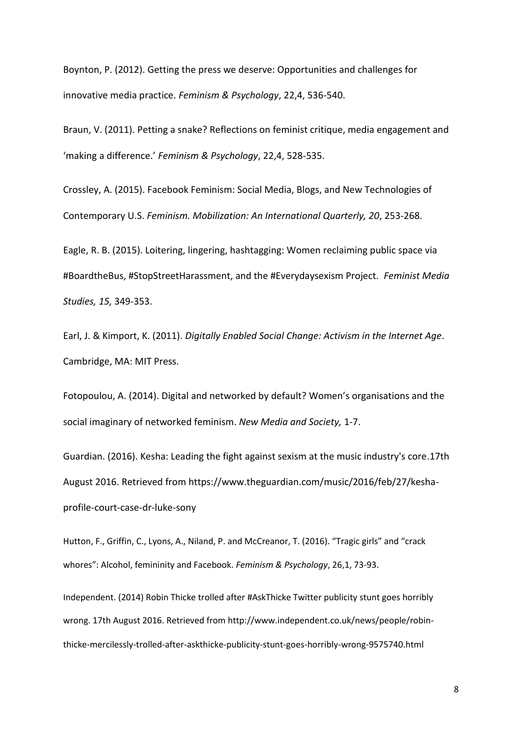Boynton, P. (2012). Getting the press we deserve: Opportunities and challenges for innovative media practice. *Feminism & Psychology*, 22,4, 536-540.

Braun, V. (2011). Petting a snake? Reflections on feminist critique, media engagement and 'making a difference.' *Feminism & Psychology*, 22,4, 528-535.

Crossley, A. (2015). Facebook Feminism: Social Media, Blogs, and New Technologies of Contemporary U.S. *Feminism. Mobilization: An International Quarterly, 20*, 253-268.

Eagle, R. B. (2015). Loitering, lingering, hashtagging: Women reclaiming public space via #BoardtheBus, #StopStreetHarassment, and the #Everydaysexism Project. *Feminist Media Studies, 15,* 349-353.

Earl, J. & Kimport, K. (2011). *Digitally Enabled Social Change: Activism in the Internet Age*. Cambridge, MA: MIT Press.

Fotopoulou, A. (2014). Digital and networked by default? Women's organisations and the social imaginary of networked feminism. *New Media and Society,* 1-7.

Guardian. (2016). Kesha: Leading the fight against sexism at the music industry's core.17th August 2016. Retrieved from https://www.theguardian.com/music/2016/feb/27/keshaprofile-court-case-dr-luke-sony

Hutton, F., Griffin, C., Lyons, A., Niland, P. and McCreanor, T. (2016). "Tragic girls" and "crack whores": Alcohol, femininity and Facebook. *Feminism & Psychology*, 26,1, 73-93.

Independent. (2014) Robin Thicke trolled after #AskThicke Twitter publicity stunt goes horribly wrong. 17th August 2016. Retrieved from http://www.independent.co.uk/news/people/robinthicke-mercilessly-trolled-after-askthicke-publicity-stunt-goes-horribly-wrong-9575740.html